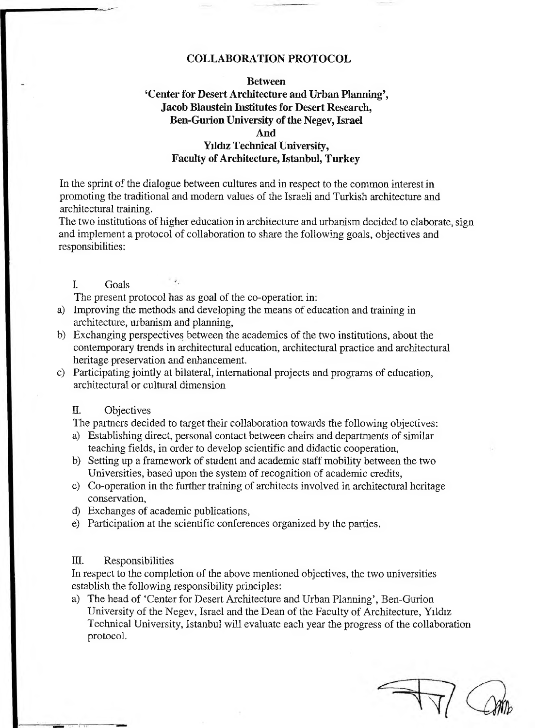#### **COLLABORATION PROTOCOL**

# **Between Center for Desert Architecture and Urban Planning', Jacob Blaustein Institutes for Desert Research, Ben-Gurion University of the Negev, Israel**

### **And**

## **Yıldız Technical University, Faculty of Architecture, Istanbul, Turkey**

In the sprint of the dialogue between cultures and in respect to the common interest in promoting the traditional and modem values of the Israeli and Turkish architecture and architectural training.

The two institutions of higher education in architecture and urbanism decided to elaborate, sign and implement a protocol of collaboration to share the following goals, objectives and responsibilities:

I. Goals

The present protocol has as goal of the co-operation in:

- a) Improving the methods and developing the means of education and training in architecture, urbanism and planning,
- b) Exchanging perspectives between the academics of the two institutions, about the contemporary trends in architectural education, architectural practice and architectural heritage preservation and enhancement.
- c) Participating jointly at bilateral, international projects and programs of education, architectural or cultural dimension

### II. Objectives

The partners decided to target their collaboration towards the following objectives:

- a) Establishing direct, personal contact between chairs and departments of similar teaching fields, in order to develop scientific and didactic cooperation,
- b) Setting up a framework of student and academic staff mobility between the two Universities, based upon the system of recognition of academic credits,
- c) Co-operation in the further training of architects involved in architectural heritage conservation,
- d) Exchanges of academic publications,
- e) Participation at the scientific conferences organized by the parties.

#### ID. Responsibilities

In respect to the completion of the above mentioned objectives, the two universities establish the following responsibility principles:

a) The head of 'Center for Desert Architecture and Urban Planning', Ben-Gurion University of the Negev, Israel and the Dean of the Faculty of Architecture, Yıldız Technical University, Istanbul will evaluate each year the progress of the collaboration protocol.

 $\overline{\mathcal{A}}$